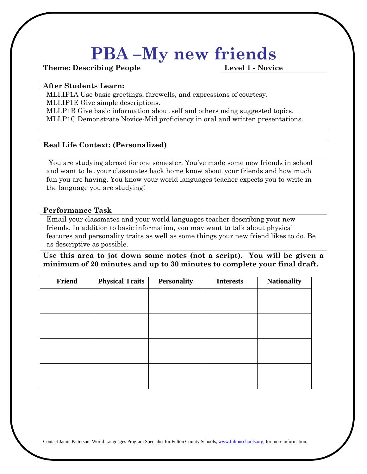# **PBA –My new friends**

**Theme: Describing People Level 1 - Novice**

#### **After Students Learn:**

MLI.IP1A Use basic greetings, farewells, and expressions of courtesy. MLI.IP1E Give simple descriptions.

MLI.P1B Give basic information about self and others using suggested topics.

MLI.P1C Demonstrate Novice-Mid proficiency in oral and written presentations.

### **Real Life Context: (Personalized)**

You are studying abroad for one semester. You've made some new friends in school and want to let your classmates back home know about your friends and how much fun you are having. You know your world languages teacher expects you to write in the language you are studying!

#### **Performance Task**

Email your classmates and your world languages teacher describing your new friends. In addition to basic information, you may want to talk about physical features and personality traits as well as some things your new friend likes to do. Be as descriptive as possible.

**Use this area to jot down some notes (not a script). You will be given a minimum of 20 minutes and up to 30 minutes to complete your final draft.**

| Friend | <b>Physical Traits</b> | <b>Personality</b> | <b>Interests</b> | <b>Nationality</b> |
|--------|------------------------|--------------------|------------------|--------------------|
|        |                        |                    |                  |                    |
|        |                        |                    |                  |                    |
|        |                        |                    |                  |                    |
|        |                        |                    |                  |                    |
|        |                        |                    |                  |                    |
|        |                        |                    |                  |                    |
|        |                        |                    |                  |                    |
|        |                        |                    |                  |                    |

Contact Jamie Patterson, World Languages Program Specialist for Fulton County Schools[, www.fultonschools.org,](http://www.fultonschools.org/) for more information.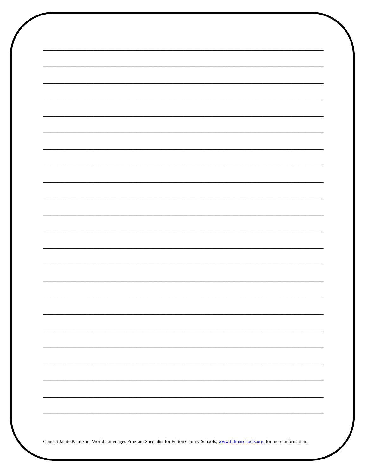| Contact Jamie Patterson, World Languages Program Specialist for Fulton County Schools, www.fultonschools.org, for more information. |  |
|-------------------------------------------------------------------------------------------------------------------------------------|--|